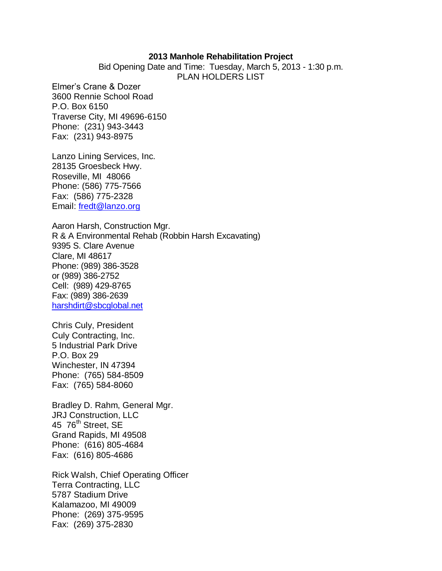## **2013 Manhole Rehabilitation Project**

Bid Opening Date and Time: Tuesday, March 5, 2013 - 1:30 p.m. PLAN HOLDERS LIST

Elmer's Crane & Dozer 3600 Rennie School Road P.O. Box 6150 Traverse City, MI 49696-6150 Phone: (231) 943-3443 Fax: (231) 943-8975

Lanzo Lining Services, Inc. 28135 Groesbeck Hwy. Roseville, MI 48066 Phone: (586) 775-7566 Fax: (586) 775-2328 Email: [fredt@lanzo.org](mailto:Fredt@lanzo.org)

Aaron Harsh, Construction Mgr. R & A Environmental Rehab (Robbin Harsh Excavating) 9395 S. Clare Avenue Clare, MI 48617 Phone: (989) 386-3528 or (989) 386-2752 Cell: (989) 429-8765 Fax: (989) 386-2639 [harshdirt@sbcglobal.net](mailto:harshdirt@sbcglobal.net)

Chris Culy, President Culy Contracting, Inc. 5 Industrial Park Drive P.O. Box 29 Winchester, IN 47394 Phone: (765) 584-8509 Fax: (765) 584-8060

Bradley D. Rahm, General Mgr. JRJ Construction, LLC 45 76<sup>th</sup> Street, SE Grand Rapids, MI 49508 Phone: (616) 805-4684 Fax: (616) 805-4686

Rick Walsh, Chief Operating Officer Terra Contracting, LLC 5787 Stadium Drive Kalamazoo, MI 49009 Phone: (269) 375-9595 Fax: (269) 375-2830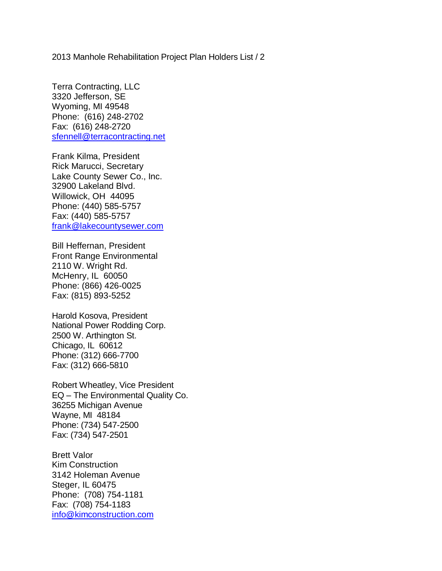2013 Manhole Rehabilitation Project Plan Holders List / 2

Terra Contracting, LLC 3320 Jefferson, SE Wyoming, MI 49548 Phone: (616) 248-2702 Fax: (616) 248-2720 [sfennell@terracontracting.net](mailto:sfennell@terracontracting.net)

Frank Kilma, President Rick Marucci, Secretary Lake County Sewer Co., Inc. 32900 Lakeland Blvd. Willowick, OH 44095 Phone: (440) 585-5757 Fax: (440) 585-5757 [frank@lakecountysewer.com](mailto:frank@lakecountysewer.com)

Bill Heffernan, President Front Range Environmental 2110 W. Wright Rd. McHenry, IL 60050 Phone: (866) 426-0025 Fax: (815) 893-5252

Harold Kosova, President National Power Rodding Corp. 2500 W. Arthington St. Chicago, IL 60612 Phone: (312) 666-7700 Fax: (312) 666-5810

Robert Wheatley, Vice President EQ – The Environmental Quality Co. 36255 Michigan Avenue Wayne, MI 48184 Phone: (734) 547-2500 Fax: (734) 547-2501

Brett Valor Kim Construction 3142 Holeman Avenue Steger, IL 60475 Phone: (708) 754-1181 Fax: (708) 754-1183 [info@kimconstruction.com](mailto:info@kimconstruction.com)